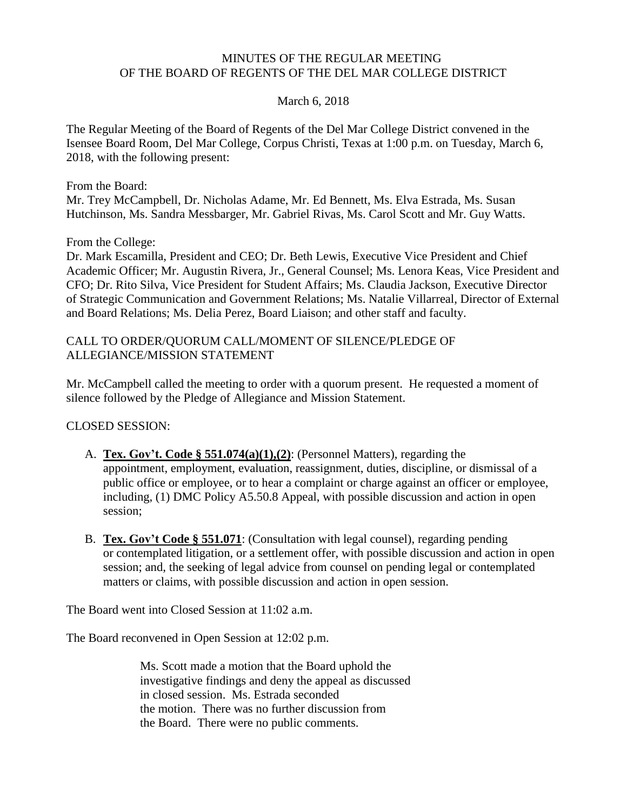#### MINUTES OF THE REGULAR MEETING OF THE BOARD OF REGENTS OF THE DEL MAR COLLEGE DISTRICT

#### March 6, 2018

The Regular Meeting of the Board of Regents of the Del Mar College District convened in the Isensee Board Room, Del Mar College, Corpus Christi, Texas at 1:00 p.m. on Tuesday, March 6, 2018, with the following present:

From the Board:

Mr. Trey McCampbell, Dr. Nicholas Adame, Mr. Ed Bennett, Ms. Elva Estrada, Ms. Susan Hutchinson, Ms. Sandra Messbarger, Mr. Gabriel Rivas, Ms. Carol Scott and Mr. Guy Watts.

From the College:

Dr. Mark Escamilla, President and CEO; Dr. Beth Lewis, Executive Vice President and Chief Academic Officer; Mr. Augustin Rivera, Jr., General Counsel; Ms. Lenora Keas, Vice President and CFO; Dr. Rito Silva, Vice President for Student Affairs; Ms. Claudia Jackson, Executive Director of Strategic Communication and Government Relations; Ms. Natalie Villarreal, Director of External and Board Relations; Ms. Delia Perez, Board Liaison; and other staff and faculty.

#### CALL TO ORDER/QUORUM CALL/MOMENT OF SILENCE/PLEDGE OF ALLEGIANCE/MISSION STATEMENT

Mr. McCampbell called the meeting to order with a quorum present. He requested a moment of silence followed by the Pledge of Allegiance and Mission Statement.

CLOSED SESSION:

- A. **Tex. Gov't. Code § 551.074(a)(1),(2)**: (Personnel Matters), regarding the appointment, employment, evaluation, reassignment, duties, discipline, or dismissal of a public office or employee, or to hear a complaint or charge against an officer or employee, including, (1) DMC Policy A5.50.8 Appeal, with possible discussion and action in open session;
- B. **Tex. Gov't Code § 551.071**: (Consultation with legal counsel), regarding pending or contemplated litigation, or a settlement offer, with possible discussion and action in open session; and, the seeking of legal advice from counsel on pending legal or contemplated matters or claims, with possible discussion and action in open session.

The Board went into Closed Session at 11:02 a.m.

The Board reconvened in Open Session at 12:02 p.m.

Ms. Scott made a motion that the Board uphold the investigative findings and deny the appeal as discussed in closed session. Ms. Estrada seconded the motion. There was no further discussion from the Board. There were no public comments.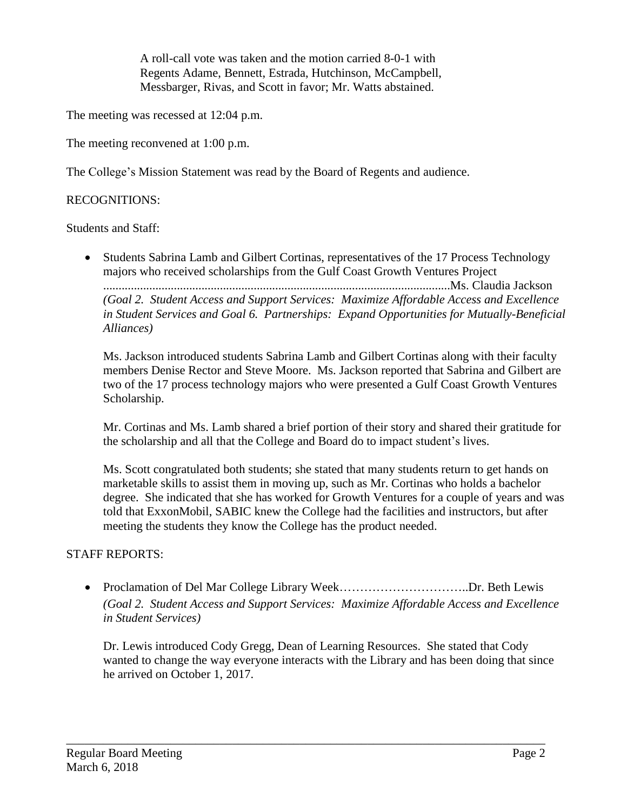A roll-call vote was taken and the motion carried 8-0-1 with Regents Adame, Bennett, Estrada, Hutchinson, McCampbell, Messbarger, Rivas, and Scott in favor; Mr. Watts abstained.

The meeting was recessed at 12:04 p.m.

The meeting reconvened at 1:00 p.m.

The College's Mission Statement was read by the Board of Regents and audience.

## RECOGNITIONS:

Students and Staff:

• Students Sabrina Lamb and Gilbert Cortinas, representatives of the 17 Process Technology majors who received scholarships from the Gulf Coast Growth Ventures Project .................................................................................................................Ms. Claudia Jackson *(Goal 2. Student Access and Support Services: Maximize Affordable Access and Excellence in Student Services and Goal 6. Partnerships: Expand Opportunities for Mutually-Beneficial Alliances)*

Ms. Jackson introduced students Sabrina Lamb and Gilbert Cortinas along with their faculty members Denise Rector and Steve Moore. Ms. Jackson reported that Sabrina and Gilbert are two of the 17 process technology majors who were presented a Gulf Coast Growth Ventures Scholarship.

Mr. Cortinas and Ms. Lamb shared a brief portion of their story and shared their gratitude for the scholarship and all that the College and Board do to impact student's lives.

Ms. Scott congratulated both students; she stated that many students return to get hands on marketable skills to assist them in moving up, such as Mr. Cortinas who holds a bachelor degree. She indicated that she has worked for Growth Ventures for a couple of years and was told that ExxonMobil, SABIC knew the College had the facilities and instructors, but after meeting the students they know the College has the product needed.

# STAFF REPORTS:

• Proclamation of Del Mar College Library Week……………………………Dr. Beth Lewis *(Goal 2. Student Access and Support Services: Maximize Affordable Access and Excellence in Student Services)*

Dr. Lewis introduced Cody Gregg, Dean of Learning Resources. She stated that Cody wanted to change the way everyone interacts with the Library and has been doing that since he arrived on October 1, 2017.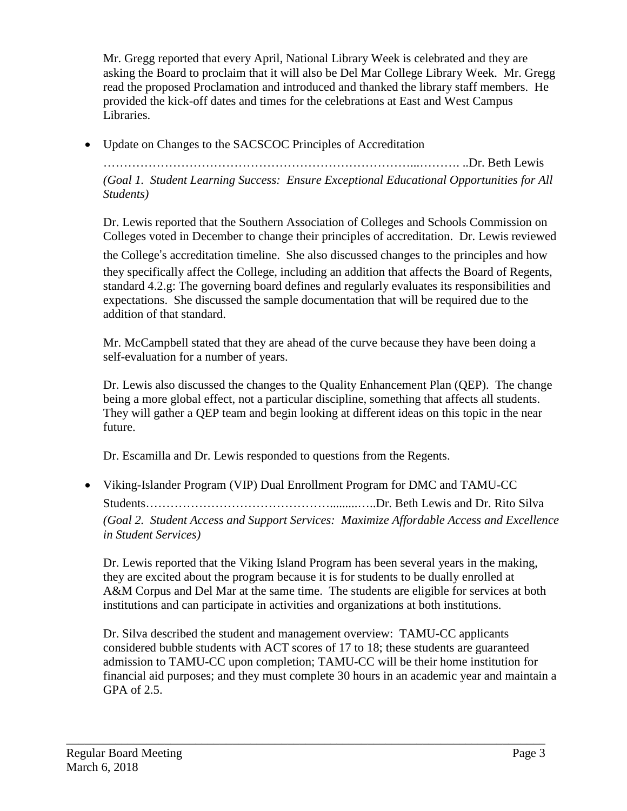Mr. Gregg reported that every April, National Library Week is celebrated and they are asking the Board to proclaim that it will also be Del Mar College Library Week. Mr. Gregg read the proposed Proclamation and introduced and thanked the library staff members. He provided the kick-off dates and times for the celebrations at East and West Campus Libraries.

• Update on Changes to the SACSCOC Principles of Accreditation

…………………………………………………………………...………. ..Dr. Beth Lewis

*(Goal 1. Student Learning Success: Ensure Exceptional Educational Opportunities for All Students)*

Dr. Lewis reported that the Southern Association of Colleges and Schools Commission on Colleges voted in December to change their principles of accreditation. Dr. Lewis reviewed

the College's accreditation timeline. She also discussed changes to the principles and how they specifically affect the College, including an addition that affects the Board of Regents, standard 4.2.g: The governing board defines and regularly evaluates its responsibilities and expectations. She discussed the sample documentation that will be required due to the addition of that standard.

Mr. McCampbell stated that they are ahead of the curve because they have been doing a self-evaluation for a number of years.

Dr. Lewis also discussed the changes to the Quality Enhancement Plan (QEP). The change being a more global effect, not a particular discipline, something that affects all students. They will gather a QEP team and begin looking at different ideas on this topic in the near future.

Dr. Escamilla and Dr. Lewis responded to questions from the Regents.

 Viking-Islander Program (VIP) Dual Enrollment Program for DMC and TAMU-CC Students……………………………………….........…..Dr. Beth Lewis and Dr. Rito Silva *(Goal 2. Student Access and Support Services: Maximize Affordable Access and Excellence in Student Services)*

Dr. Lewis reported that the Viking Island Program has been several years in the making, they are excited about the program because it is for students to be dually enrolled at A&M Corpus and Del Mar at the same time. The students are eligible for services at both institutions and can participate in activities and organizations at both institutions.

Dr. Silva described the student and management overview: TAMU-CC applicants considered bubble students with ACT scores of 17 to 18; these students are guaranteed admission to TAMU-CC upon completion; TAMU-CC will be their home institution for financial aid purposes; and they must complete 30 hours in an academic year and maintain a GPA of 2.5.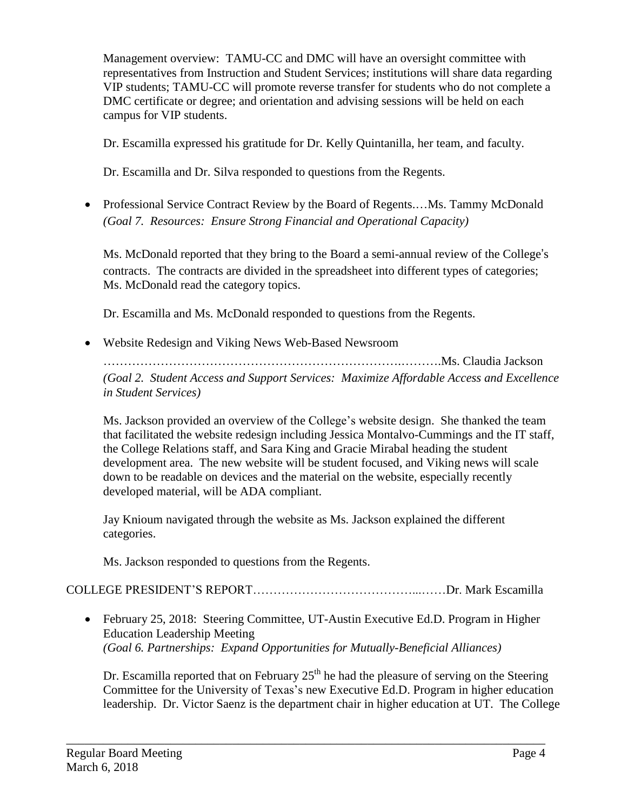Management overview: TAMU-CC and DMC will have an oversight committee with representatives from Instruction and Student Services; institutions will share data regarding VIP students; TAMU-CC will promote reverse transfer for students who do not complete a DMC certificate or degree; and orientation and advising sessions will be held on each campus for VIP students.

Dr. Escamilla expressed his gratitude for Dr. Kelly Quintanilla, her team, and faculty.

Dr. Escamilla and Dr. Silva responded to questions from the Regents.

• Professional Service Contract Review by the Board of Regents....Ms. Tammy McDonald *(Goal 7. Resources: Ensure Strong Financial and Operational Capacity)*

Ms. McDonald reported that they bring to the Board a semi-annual review of the College's contracts. The contracts are divided in the spreadsheet into different types of categories; Ms. McDonald read the category topics.

Dr. Escamilla and Ms. McDonald responded to questions from the Regents.

Website Redesign and Viking News Web-Based Newsroom

……………………………………………………………….……….Ms. Claudia Jackson *(Goal 2. Student Access and Support Services: Maximize Affordable Access and Excellence in Student Services)*

Ms. Jackson provided an overview of the College's website design. She thanked the team that facilitated the website redesign including Jessica Montalvo-Cummings and the IT staff, the College Relations staff, and Sara King and Gracie Mirabal heading the student development area. The new website will be student focused, and Viking news will scale down to be readable on devices and the material on the website, especially recently developed material, will be ADA compliant.

Jay Knioum navigated through the website as Ms. Jackson explained the different categories.

Ms. Jackson responded to questions from the Regents.

# COLLEGE PRESIDENT'S REPORT…………………………………...……Dr. Mark Escamilla

 February 25, 2018: Steering Committee, UT-Austin Executive Ed.D. Program in Higher Education Leadership Meeting *(Goal 6. Partnerships: Expand Opportunities for Mutually-Beneficial Alliances)*

\_\_\_\_\_\_\_\_\_\_\_\_\_\_\_\_\_\_\_\_\_\_\_\_\_\_\_\_\_\_\_\_\_\_\_\_\_\_\_\_\_\_\_\_\_\_\_\_\_\_\_\_\_\_\_\_\_\_\_\_\_\_\_\_\_\_\_\_\_\_\_\_\_\_\_\_\_\_

Dr. Escamilla reported that on February  $25<sup>th</sup>$  he had the pleasure of serving on the Steering Committee for the University of Texas's new Executive Ed.D. Program in higher education leadership. Dr. Victor Saenz is the department chair in higher education at UT. The College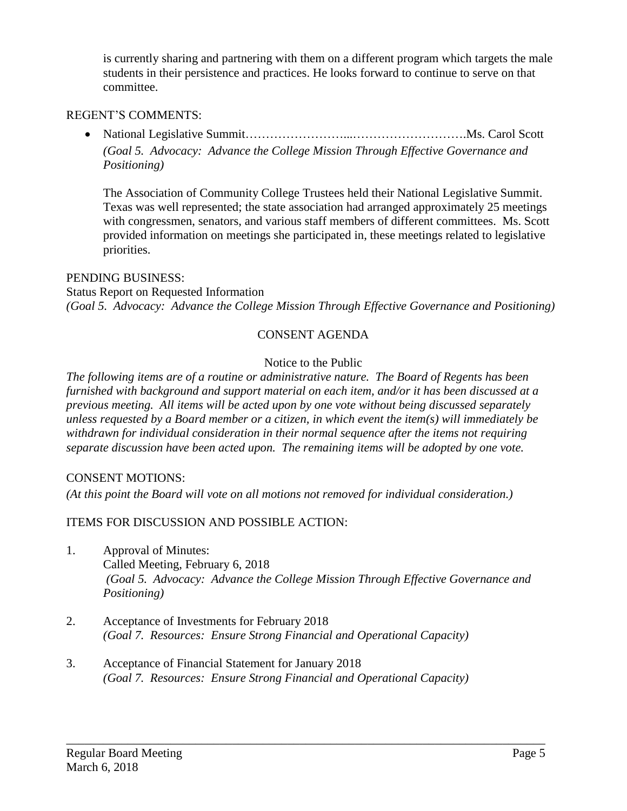is currently sharing and partnering with them on a different program which targets the male students in their persistence and practices. He looks forward to continue to serve on that committee.

## REGENT'S COMMENTS:

 National Legislative Summit……………………...……………………….Ms. Carol Scott *(Goal 5. Advocacy: Advance the College Mission Through Effective Governance and Positioning)*

The Association of Community College Trustees held their National Legislative Summit. Texas was well represented; the state association had arranged approximately 25 meetings with congressmen, senators, and various staff members of different committees. Ms. Scott provided information on meetings she participated in, these meetings related to legislative priorities.

### PENDING BUSINESS:

Status Report on Requested Information *(Goal 5. Advocacy: Advance the College Mission Through Effective Governance and Positioning)*

### CONSENT AGENDA

### Notice to the Public

*The following items are of a routine or administrative nature. The Board of Regents has been furnished with background and support material on each item, and/or it has been discussed at a previous meeting. All items will be acted upon by one vote without being discussed separately unless requested by a Board member or a citizen, in which event the item(s) will immediately be withdrawn for individual consideration in their normal sequence after the items not requiring separate discussion have been acted upon. The remaining items will be adopted by one vote.*

### CONSENT MOTIONS:

*(At this point the Board will vote on all motions not removed for individual consideration.)*

ITEMS FOR DISCUSSION AND POSSIBLE ACTION:

1. Approval of Minutes: Called Meeting, February 6, 2018 *(Goal 5. Advocacy: Advance the College Mission Through Effective Governance and Positioning)*

- 2. Acceptance of Investments for February 2018 *(Goal 7. Resources: Ensure Strong Financial and Operational Capacity)*
- 3. Acceptance of Financial Statement for January 2018 *(Goal 7. Resources: Ensure Strong Financial and Operational Capacity)*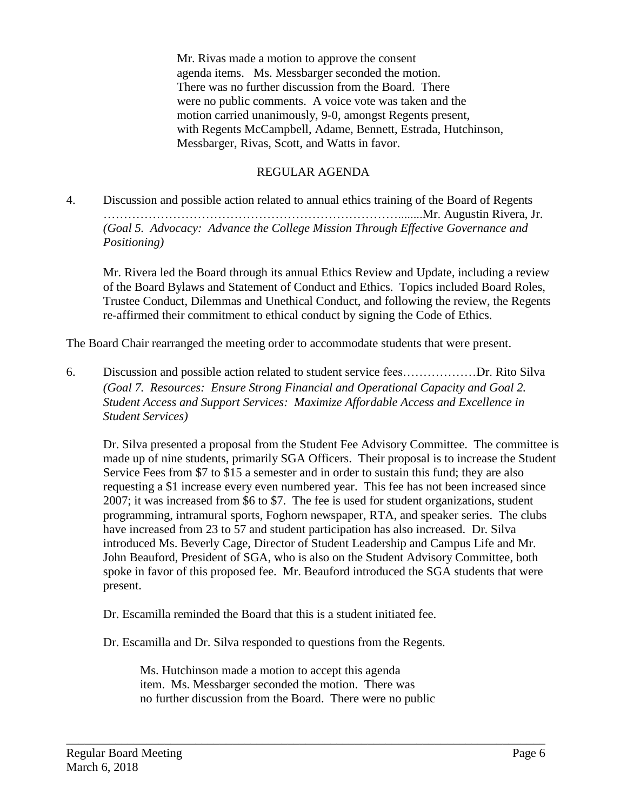Mr. Rivas made a motion to approve the consent agenda items. Ms. Messbarger seconded the motion. There was no further discussion from the Board. There were no public comments. A voice vote was taken and the motion carried unanimously, 9-0, amongst Regents present, with Regents McCampbell, Adame, Bennett, Estrada, Hutchinson, Messbarger, Rivas, Scott, and Watts in favor.

# REGULAR AGENDA

4. Discussion and possible action related to annual ethics training of the Board of Regents ………………………………………………………………........Mr. Augustin Rivera, Jr. *(Goal 5. Advocacy: Advance the College Mission Through Effective Governance and Positioning)*

Mr. Rivera led the Board through its annual Ethics Review and Update, including a review of the Board Bylaws and Statement of Conduct and Ethics. Topics included Board Roles, Trustee Conduct, Dilemmas and Unethical Conduct, and following the review, the Regents re-affirmed their commitment to ethical conduct by signing the Code of Ethics.

The Board Chair rearranged the meeting order to accommodate students that were present.

6. Discussion and possible action related to student service fees………………Dr. Rito Silva *(Goal 7. Resources: Ensure Strong Financial and Operational Capacity and Goal 2. Student Access and Support Services: Maximize Affordable Access and Excellence in Student Services)*

Dr. Silva presented a proposal from the Student Fee Advisory Committee. The committee is made up of nine students, primarily SGA Officers. Their proposal is to increase the Student Service Fees from \$7 to \$15 a semester and in order to sustain this fund; they are also requesting a \$1 increase every even numbered year. This fee has not been increased since 2007; it was increased from \$6 to \$7. The fee is used for student organizations, student programming, intramural sports, Foghorn newspaper, RTA, and speaker series. The clubs have increased from 23 to 57 and student participation has also increased. Dr. Silva introduced Ms. Beverly Cage, Director of Student Leadership and Campus Life and Mr. John Beauford, President of SGA, who is also on the Student Advisory Committee, both spoke in favor of this proposed fee. Mr. Beauford introduced the SGA students that were present.

Dr. Escamilla reminded the Board that this is a student initiated fee.

Dr. Escamilla and Dr. Silva responded to questions from the Regents.

Ms. Hutchinson made a motion to accept this agenda item. Ms. Messbarger seconded the motion. There was no further discussion from the Board. There were no public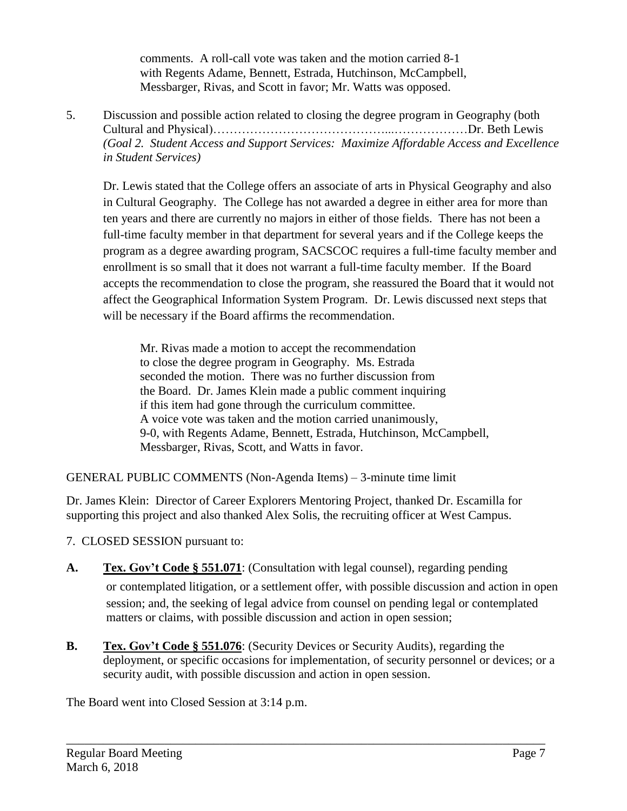comments. A roll-call vote was taken and the motion carried 8-1 with Regents Adame, Bennett, Estrada, Hutchinson, McCampbell, Messbarger, Rivas, and Scott in favor; Mr. Watts was opposed.

5. Discussion and possible action related to closing the degree program in Geography (both Cultural and Physical)……………………………………...………………Dr. Beth Lewis *(Goal 2. Student Access and Support Services: Maximize Affordable Access and Excellence in Student Services)*

Dr. Lewis stated that the College offers an associate of arts in Physical Geography and also in Cultural Geography. The College has not awarded a degree in either area for more than ten years and there are currently no majors in either of those fields. There has not been a full-time faculty member in that department for several years and if the College keeps the program as a degree awarding program, SACSCOC requires a full-time faculty member and enrollment is so small that it does not warrant a full-time faculty member. If the Board accepts the recommendation to close the program, she reassured the Board that it would not affect the Geographical Information System Program. Dr. Lewis discussed next steps that will be necessary if the Board affirms the recommendation.

Mr. Rivas made a motion to accept the recommendation to close the degree program in Geography. Ms. Estrada seconded the motion. There was no further discussion from the Board. Dr. James Klein made a public comment inquiring if this item had gone through the curriculum committee. A voice vote was taken and the motion carried unanimously, 9-0, with Regents Adame, Bennett, Estrada, Hutchinson, McCampbell, Messbarger, Rivas, Scott, and Watts in favor.

GENERAL PUBLIC COMMENTS (Non-Agenda Items) – 3-minute time limit

Dr. James Klein: Director of Career Explorers Mentoring Project, thanked Dr. Escamilla for supporting this project and also thanked Alex Solis, the recruiting officer at West Campus.

- 7. CLOSED SESSION pursuant to:
- **A. Tex. Gov't Code § 551.071**: (Consultation with legal counsel), regarding pending or contemplated litigation, or a settlement offer, with possible discussion and action in open session; and, the seeking of legal advice from counsel on pending legal or contemplated matters or claims, with possible discussion and action in open session;
- **B. Tex. Gov't Code § 551.076**: (Security Devices or Security Audits), regarding the deployment, or specific occasions for implementation, of security personnel or devices; or a security audit, with possible discussion and action in open session.

\_\_\_\_\_\_\_\_\_\_\_\_\_\_\_\_\_\_\_\_\_\_\_\_\_\_\_\_\_\_\_\_\_\_\_\_\_\_\_\_\_\_\_\_\_\_\_\_\_\_\_\_\_\_\_\_\_\_\_\_\_\_\_\_\_\_\_\_\_\_\_\_\_\_\_\_\_\_

The Board went into Closed Session at 3:14 p.m.